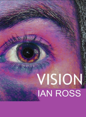# VISION **IAN ROSS**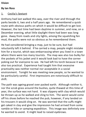## **Vision**

## **By Ian Ross**

# 1. Cecilia's Sextant

Anthony had last walked this way, over the river and through the parks beside it, two and a half years ago. He remembered a quick route with obvious paths on which it would be difficult to get lost. However, the last time had been daytime in summer, and now, on a December evening, what little daylight there had been was long gone. Away from roads and city lights, among the squelching fen mud, the paths were not so obvious as he remembered them.

He had considered bringing a map, just to be sure, but had reluctantly left it behind. If he carried a map, people might mistake him for a tourist, which was embarrassing when you lived in a town where there were too many tourists. The map was also too bulky for the pockets of his jacket and it would look bad to have the corner poking out for everyone to see. He had left his torch because it was also too practical. Experience had taught him that excessive practicality was neither normal nor acceptable in a social environment. Tonight he was meeting new people, so he wanted to be particularly careful. First impressions are notoriously difficult to shift.

The path was ageing gravel over packed earth. Although neither it, nor the scrub grass around the bushes, quite thawed at this time of year, the surface was not hard. It was slippery with clay which would be thrown up as he walked and cling to him. The worst would come off his shoes before he reached the pub, however, if any landed on his trousers it would cling on. He was worried that the cuffs might get caked in clay and give the impression he had arrived from some ramble or hike or camping expedition. This image was definitely one he wanted to avoid. It might lead to raised eyebrows.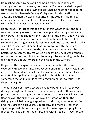He reached some swings and a climbing frame beyond which, although he could not see it, he knew the Ely Lane divided the park from one of the college playing fields. Once he reached the road he would turn left towards Berkley College and his destination, the 'Cow and Feathers'. It was a favourite of the students at Berkley although, as he had had little call to visit pubs outside the town centre, he had never been inside himself.

He shivered. His jacket was too thin for this weather, but the cold was not the only reason. He was on edge and, although not scared, felt nervous in the shadows and isolation of the park. Oddly, he felt more at risk in the innocent darkness than he would have felt if some obvious danger was fully visible ahead. He was not realistically scared of assault or robbery, it was more to do with the lack of certainty about what was nearby. For instance, there might be nettles or poison ivy against which he might brush. It was probably out of season for both but then there might be something similar he did not know about. Where did snakes go in the winter?

He passed the playground whose tubular metal furniture was covered with evening rime. Not yet cold enough to have crystallised into ice or frost, it was mucky and slimy and ugly in a visceral sort of way. He felt repelled and slightly sick at the sight of it. Slime is something the animal in us seems programmed not to touch, like slugs or maggots.

The path was obstructed where a shallow puddle had frozen over during the night and broken up again during the day. He was wary of putting too much weight on the remnants of thin ice which were still floating over the suspension of clay. If he stood on them the deluging muck below might splash out and spray slurry over his feet and the cuffs of his trousers. Elaborately, and more by feel than sight, he picked his way through the dirt man-traps, hopping from foot to foot like a bridesmaid tiptoeing with lifted skirts over uneven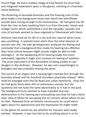church flags. He had a sudden image of how foolish he must look and imagined malevolent spies in the gloom, smirking at a fourteen stone ballerina.

The fluttering of denuded branches and the freezing rush of the wind made a low background noise over which few identifiable sounds were strong enough to be autonomous. He had gone too far from the river to hear anything from it or from the pubs, hotels and college rooms which overlooked it and the squawks, squeaks and cries of animals seemed to have migrated or hibernated with them.

Anthony had lived all his life in a city and this natural white noise was unsettling. It seemed more silent than the total absence of sounds ever did. His ever grinding brain analysed the feeling and concluded that a background blur made his hearing less effective than total silence because slight sounds might be able to hide amongst it. As the weakening of his hearing made him more vulnerable, logically it might also increase his feeling of isolation. The aural equivalent of the discomfort of being unable to see dangers in the darkness. However, he was not a psychologist or biologist and was probably missing the point.

The sound of an engine and a moving light reached him through the branches ahead and his hunched shoulders physically relaxed. With relief he emerged onto the Ely Road and urban familiarity. Once the car had gone there were still no extraneous sounds, but the quietness did not have the same abnormality as it had in the park. The background hum seemed to have subsided and any deterioration in his hearing was untroubling now that he had a fairly clear view of where he was going and no concern about where to put his feet. Released from animalistic nervousness he could worry again about his appearance and the impression he might make.

In the gloom he could not see whether his trousers were badly marked. However, it was too late to do anything about it so he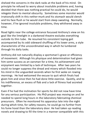shelved the concerns in the dark racks at the back of his mind. On principle he refused to worry about insoluble problems and, having decided that there was nothing practical he could do, he would relegate them to mental obscurity. Sometimes some monster would irrationally shift in this nether-murk and his stomach would clench and his face flush or he would start from sleep sweating. Normally, however, if he ignored insoluble problems, they whithered away in time.

Road lights near the college entrance focussed Anthony's view on his goal like the limelight in a darkened theatre excludes everything outside its thin tube. He resumed his consistent loping gait accompanied by its odd sideward shuffling of his lower arms, a style characteristic of the uncoordinated way in which he lumbered through his daily tasks.

Anthony did not naturally display a sportsman's grace or efficiency of movement. Although his physique and determination had given him some success as an oarsman for a time, his achievement and enjoyment was limited by a lack of technique. After two years he could no longer suppress the dread and misery which flooded into his mind in the unguarded seconds when he first woke on rowing mornings. He had welcomed the excuse to quit which finals had given him and since then he had done little exercise. Quietly, and to his indifference, an excess of flab and a lack of fitness had accreted together.

Even if he had the inclination for sports he did not now have time for any serious participation. His PhD project was moving on and he needed to spend long hours in the laboratory fabricating chemical precursors. Often he monitored his apparatus late into the night during which time, for safety reasons, he could go no further from his fume hood than the laboratory door. He had taken up reading novels and drawing to fill the time in a manner compatible with this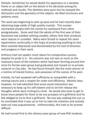lifestyle. Sometimes he would sketch his apparatus or a window frame or an object left on the bench in his lab-book among his methods and results. The sketches were poor but he enjoyed the distraction and the geometry of the objects. He liked structures and patterns most.

The work was beginning to pick up pace and he had recently been obtaining large yields of high quality crystals. This success contrasted sharply with the stories he overheard from other postgraduates. Some said that the whole of the first year of their doctorate had yielded nothing useable, others that their products were impure or unstable. Many were forced to repeat the same experiments continually in the hope of producing anything to test. Most seemed depressed and demotivated by the lack of direction and progress in their work.

Anthony had not spoken much about his comparative success, despite his pride in it. His restraint was not tact so much as the necessary result of the isolation which had been forming around him since his former peer group had graduated and moved on to private research or City jobs. He had found himself, like the mute winner of a tontine of shared history, sole possessor of the scenes of his past.

Initially, he had accepted self sufficiency as compatible with a retiring nature and a respect for order and efficiency. Months later, however, he had admitted that some social interaction was necessary to keep up his self esteem and to let him release the thoughts which were circling his mind. He would also have to get to know more people for there to be any prospect of a girlfriend and he felt obliged to try to find a girlfriend. No-one was seeking him out so he concluded that it was up to him to take the initiative and actively seek out new acquaintances. Unfortunately, this had so far proved difficult.

He had turned first to the obvious peer group of new PhD students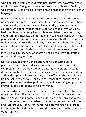who had come from other universities. They were, however, either not his type or foreigners whose conversation, at least in English, was limited. He had no skill or patience to engage them in any other language.

Having made no progress in that direction he had undertaken an unpleasant but frank self assessment. He was no longer a member of any university societies or clubs. The majority of students in his college were either living through a period of their lives which he had completed or already had hobbies and friends to whom they could turn. His interests did not help him to engage easily with new people and he was not charismatic in a way which attracted friends. He had no patience with small talk, knew nothing about football, music or films, was not fond of drinking and had no talent for pool or darts or dancing. As the majority of social events seemed to involve clubs, pubs, bops or sports he had been left with limited options and no great ideas.

Nonetheless, against his inclination, he was determined to persevere. Even if his work was successful, the time it took him to complete his PhD would otherwise become intolerable. In some desperation, he forced himself to engage strangers in conversation and made a point of accepting any social offer which came his way. He had come to believe strongly in the concept of loneliness as a part of the genetic make-up of humans, as it was being empirically proven by the operations of his own mind.

This was why, as the next in a sequence of unsuccessful outings, he now found himself without a torch on the fringes of town wearing trousers covered in unascertained mud stains and shivering within an inadequate jacket. He resisted the temptation to cut his losses and turn around. His current target was promising and failure to follow up on his first invitation would close off any realistic future opportunities.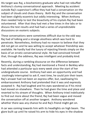His target was Raj, a biochemistry graduate who had not rebuffed Anthony's clumsy conversational approach. Meeting by accident outside Raj's supervisor's office they had had a conversation on the subject of clouds and chaos theory. Both Raj and the conversation had been slightly eccentric but oddly interesting. When Anthony then needed help to test the bioactivity of his crystals Raj had been volunteered. After that they had met a few times in the labs or to discuss the test results and had had a series of unpredictable discussions on esoteric subjects.

These conversations were sometimes difficult due to the odd way Raj had of talking and a strange aloofness which was hard to penetrate. Nonetheless, Anthony had no reason to believe that they did not get on and he was willing to accept whatever friendship was available. He hardly had the luxury of rejecting friends simply on the basis of an erratic conversational style. He had convinced himself that, through the oddness, Raj was intelligent and probably kind.

Recently, during a rambling discourse on the difference between facts and understanding, Raj had mentioned a friend in Berkley who had attended a particular quiz every week since the start of her undergraduate course. Anthony had seen an opportunity and had crashingly interrupted to ask if, next time, he could join their team. Raj's answer had not been an express offer, but, swallowing his embarrassment Anthony had pretended that it was and expressly accepted it. Raj had laughed and his eyes wandered as if his mind had moved on elsewhere. Then he had given the time and place and reverted to his stream of thoughts. When Anthony tried indelicately to find out more about the friend, Raj had been vague and moved the conversation off at another tangent. Anthony wondered whether there was any chance he and Raj's friend might get on.

A car was coming towards him with its headlights on high beam. The glare built up until he raised his arm to hide his eyes in the shadow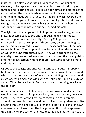in its lee. The glow evaporated suddenly as the Doppler shift changed, to be replaced by a complete blackness with sinking red threads and floating halos. He blinked a few times and stared at the cycle track on the roadside while he waited for his vision to return and the man-made stars to fade. The fine sand which covered the track would be green, however, even in good light he had difficulty with greens and it was irretrievably grey to him now. When the sparks had burnt themselves out he resumed his walk.

The light from the lamps and buildings on the road side gradually grew. It became easy to see and, although he did not notice, Anthony's pace increased slightly. Berkley College was on the left. It was a brick, post war complex of three-storey oblong buildings each connected by a covered walkway to the hexagonal hive of the main college building. The peripheral satellites contained the staircases on which the undergraduates lived. They were arranged so the majority of rooms looked away from the road over the playing fields and the college garden with its modern sculptures in rusting metal and chipped brick.

Opposite the college entrance was a terrace of houses, probably built in the 1930s, with high iron railings and narrow doors, beyond which was a shorter terrace of much older buildings. At the far end a sign was swinging in the wind with the pub name and a picture of a cow. When he reached it, Anthony paused, breathing heavily in the cold air.

As is common in very old buildings, the windows were divided by wooden slats into smaller panes which, Anthony recalled, are called 'lights.' The edges of the lights were fogged in circular frames around the clear glass in the middle. Looking through them was like peeping through a knot hole in a fence or a portal in a ship or down a telescope or microscope. The images of motion inside appeared through the visible section and disappeared again out of sight with a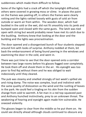suddenness which made them difficult to follow.

Some of the lights had a crack off which the lamplight diffracted, others were covered in growing moss or slime. In places the paint on the frames was peeling off, in others the frames were clearly rotting and the lights rattled loosely with gusts of cold air from outside or warm air from within. The wooden door, which had buckled in the cold or the wet, did not fit smoothly into its jamb and bumped open and closed with the same gusts. The latch was tied open with string but would probably never have met its catch due to the buckling. Anthony knew that looking at the door and the building and the lights was procrastination.

The door opened and a disorganised bunch of four students stepped around him with looks of surprise. Anthony nodded at them, bit back the embarrassment of being found peering in the windows and examining the door in the cold, and went in.

There was just time to see that the door opened onto a corridor between two large rooms before his glasses fogged over completely. He took them off and shook them in the air. His eyesight was too poor to find Raj without them and he was obliged to wait indecisively until they cleared.

The pub was steamy and smelled strongly of last week's spilled ale and rising damp. The noise was complex, loud and indistinct with the same quality of dislocation as the wind and the rustling of leaves in the park. He could feel a tingling on his skin from the sudden change from cold to warmth. A fat man in a red top squeezed past and Anthony hunched instinctively, prey to an unknown threat. The weakening of hearing and eyesight again made him vulnerable. He sneezed violently.

The glasses began to clear from the middle so he put them on. He could see directly ahead although clouds continued to obscure any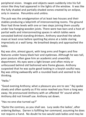peripheral vision. Images and objects swam suddenly into his full vision like they had appeared in the lights of the window. It was like the fully shaded and partially shaded zones created by an eclipse, only in reverse. Penumbra and umbra.

The pub was the amalgamation of at least two houses and their stables producing a labyrinth of interconnecting rooms. The ground floor had three levels with one or two steps joining them usually under low hanging wooden joists. There were two bars and a host of partial walls and interconnecting spaces in which tables were concealed behind standing drinkers. Anthony searched the whole maze at least once before spotting Raj alone at a table staring imprecisely at a wall lamp. He breathed deeply and approached the table.

Raj was slim, almost gaunt, with long arms and fingers and fine features under heavy black hair and eyebrows. Although he was tall, poor posture often gave him an academic and unworldly deportment. His eyes were a light brown and often misty or unfocussed behind old fashioned wire frame glasses. Anthony suspected that he was quite good looking in a boyish soulful way. Raj was sitting awkwardly with a rounded back and seemed to be thinking.

"Hello."

"Good evening Anthony; what a pleasure you are to see." Raj spoke slowly and often quietly as if his voice reached you from a long way away. He pronounced Anthony with an affected 'th' sound which Anthony did not himself use. Anthony sat down.

"Has no-one else turned up?"

"Quite the contrary, as you shall see. Lucy seeks the ladies', after ordering Baileys. Darren is fulfilling her command, assuming he does not require a hand. No doubt he too would seek ladies and may be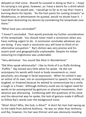delayed on that score. Should he succeed in doing so that is. I hope his tarrying is not great, however, as I have a desire for a drink which I would that he would sate. I would go so far as to say that I have a burning desire for liquids. "As the hart pants for cooling streams" as Wodehouse, or whomsoever he quoted, would no doubt have it. I have been distracting my desires by considering the lampshade over there."

"What have you concluded?"

"I haven't concluded. That would preclude my further consideration of the lampshade. You should never reach a conclusion when you have nothing urgent to do. A conclusion concludes whatever you are doing. If you reach a conclusion you will have to think of an alternative occupation." Raj's diction was very precise and his accent posh and geographically unplaceable. Despite his Indian colouring his Englishness was undeniable.

"Very whimsical. You sound like Alice in Wonderland."

"Did Alice speak whimsically? I like to think of it as fluffy thinking. Fluffily." Raj moved very little when he spoke. He did not accompany his words with hand or body movements or, most peculiarly, any change in facial expression. When he smiled it was an action of its own, not an accompaniment to speech; he smiled, or laughed, or frowned because he wished to communicate by a smile, a laugh or a frown. Although Anthony could see no logical need for words to be accompanied by gestures or physical movements, their absence was distracting. Combining with the quietness of his voice and the abnormal way he spoke, the lack of gesture made it difficult to follow Raj's words over the background noise.

"Alice! Alice? Who, the fuck, is Alice?" A short fat man had swung up to the table from behind Anthony. He was no older than Anthony and Raj, however, his hair was thinner and was obviously receding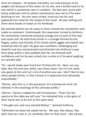from his temples. He looked unhealthy, not only because of his weight, but because of the sheen on his skin and a brittle look to his hair which is sometimes seen in smokers. His face was round with heavy eyebrows and his whole countenance was red as if he were blushing or hot. His ears were curled, stuck out too far and appeared too small for the shape of this head. He was smiling and there were beads of sweat on his forehead.

Raj seemed almost too far away to have noticed the interjection and made no comment. Undismayed, the newcomer turned to Anthony. His movements contained excessive energy and no part of him was ever quite still. He held three drinks in a triangle formed by the fingers, palms and thumbs of his hands which jigged and reeled, but somehow did not spill. His gaze was confident, challenging and cheerful and was concentrated and directed into Anthony's eyes from deep within a face padded with fat. He shivered with confidence and his lip was curled into a smile as if he were laughing at a private joke.

"Hi, I would shake your hand but I'd drop this lot. Here, can you take, like, the end one, while I put these down 'cos I'm not really very good at this and not a lot of practice you see, I don't like to buy other people drinks, in that y'know it is expensive and ultimately unprofitable."

"Darren, who this is, is the possessor of a commercial mind. He believes in the teachings of the ultimate profits."

"Darren." Darren nodded his self introduction, "That's for the spectre at the table we call Lucy," he indicated that a slim glass of clear liquid was to be put at the spare seat.

"I thought you said Lucy wanted Baileys." Queried Anthony.

"Definitely not what she asked me for. She was, like always, like, well, how can I put it, uh, perfectly clear on that score. Like y'know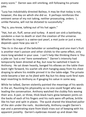every score." Darren was still smirking, still following his private joke.

"Lucy has indubitably directed Baileys, it may be that today is not, however, the day on which she did so. It perhaps reinforces the eminent sense of my not taking, neither prosecuting, orders. I, unlike Panama, will not be dictated to successfully."

"Raj is, you-know, talking out of his hat again."

"Hat, hot air, fluff, sense and turkey. A word can sink a battleship, condemn a man to death or start the creation of the universe. Whether its import is a swine-cast pearl, a mot juste or just a mot, depends upon how you see it."

"like its in the eye of the beholder or something and one man's fruit is another man's poison and other clichés to the same effect, only more long winded in your case. I can't help like thinking there is 'tho a joke on 'Just a mo' here somewhere." Darren's intensity had temporarily been directed at Raj, but now he switched it back to Anthony. He sat down heavily, banged his elbows on the table then leant right forward, his scarlet silk shirt hanging away from his chest draping to where his middle pinned it to the table-edge. The private smile became a leer as he jibed with Raj but his deep sunk feral eyes kept reverting to Anthony as if gauging his value in some way.

While he talked, Darren violently painted the meanings of his words in the air, flaunting his physicality so no one could forget who was leading the conversation. Anthony watched the clubby fists waving their arcs. A pair, or three, thick black hairs grew between joints on the backs of each of his fingers and his nails were off-yellow, brittle like his hair and split in places. The quick shared the bleached pallor of the skin under the nails. Accidentally, Anthony caught Darren's eye and a penetrating stare from black irises out of keeping with his apparent joviality. Darren's eyebrows moved up and down like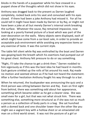blocks in the hands of a puppeteer while his face creased in a puppet show of the thoughts which did not show in his eyes.

Anthony was dragged back to the present as Darren laughed completely, rocked back onto his seat and convulsed with his eyes closed. If there had been a joke Anthony had missed it. For all he could tell it might have been made by Darren or by Raj, or might not have been a joke at all but merely Darren's internal smirk breaking the surface. Whatever the cause, Raj remained impassive, now looking at a poorly framed picture of a boat which was part of the over-decoration on the walls. Many objects were displayed, each of which might have come from a car-boot sale, in order to provide an acceptable pub environment while avoiding any expensive items or any exercise of taste. It was the current style.

The table fell silent while Raj was enthralled by the boat and Darren was gasping back the breath which his exertions had pumped out of his great chest. Anthony felt pressure to do or say something.

"Right, I'll take the chance to get a drink then." Darren nodded to him vigorously as if this was the best idea he had heard in months. Each gesture crinkled up the rolls of fat around his neck. Raj made no motion and seemed almost as if he had not heard the statement. After a further hesitation Anthony fought his way through to a bar.

When he returned, the loudspeaker was announcing the quiz and a third person was sitting between Darren and Raj. Even on first sight from behind, there was something odd about her appearance, something which became odder as he got a clearer view. She was small even for a girl, but that was not what struck him. There was something else, something more structural as if she was not so much a person as a collection of body parts in a bag. She sat hunched with a domed back and one shoulder lower than the other like you might see a vagrant boy with a hollow chest or an emaciated old man on a third world street. It was not the posture of a girl or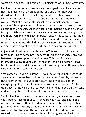woman of any age. On a female its inelegance was almost offensive.

Her head behind red-brown hair was held gawkishly like a candyfloss ball inclined at an angle to its lolly-stick. Her hair was disordered but not in a stylish way and its periphery was a corona of split ends and static, like Umbra and Penumbra. She wore an oversize Michelin-man puffer jacket in an unmistakeable yellow green which people would call neon, although it was closer to the colour of chlorine gas. Anthony could not imagine anyone he knew taking so little care over their hair and clothes or even buying a coat like that. Personally he saw no logical reason not to leave your hair unstyled and wear bright clothes if you wanted to, but he knew that most women did not think that way. His sister, for example, would certainly have a great deal of acid things to say on the subject.

Raj was still looking at something far off. Darren rocked back and forth gesturing at some note paper with his grin and gaze shivering between the pen tip and the girl's face. This dual focus was interrupted as he caught sight of Anthony and his eyebrows lifted his lips on invisible strings into an all consuming smile. He swung his whole frame to face Anthony's approach.

"Welcome to 'Cecilia's Sextant.' It was the only like name we could agree on and we've like stuck to it as a winning formula, you know three from three - the unbeaten team and any discussion on changing is going to be ultimately unprofitable so you won't like don't even y'know go there 'cos you're like the late boy on the scene and late boys have to take what's on the table if that is there is…"

"and it has been the 'only' name, as you put it, since at least two years before I ever met you." Her voice was nasal and sharp and certainly far from diffident or demur. It seemed bitter or possibly just impatient. Anthony could not tell which, although he knew he would not like to be on the wrong end of it. She did not turn towards him as he came round the table and gave no physical sign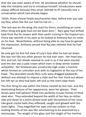that she was even aware of him. He wondered whether he should take the initiative and try to introduce himself. Introductions were always difficult because they never seemed to fit naturally into a conversation which had already begun.

"ahhh, those y'know heady bacchanalian days, before ever you saw my face, when like the sun had his hat on …

"the lark was on the wing, the snail his thorn; something on some other thing and gods had not yet been born." Raj's gaze had drifted back from the far oceans with their yacht cruising in the tropical sun. There was warmth in his eyes as he looked at Anthony but no smile on his face. Nevertheless, without being able to say how he gained the impression, Anthony sensed that Raj was relieved that he had returned.

He only got his first full view of Lucy's face after he had sat down. She was not like any other person he had ever seen. Her head was thin and tall, her cheeks seemed to suck in as if she were starved and the skin was a pale cream which even in deep winter looked unhealthy. Her forehead was unnaturally high under a hairline which formed an unbroken arch with its highpoint at the top of her head. The abundant candy-floss curls were dragged backwards without any attempt to impose a style and her hair stuck out above her left ear as they had been left and as the static kept them.

The first thing he saw within the frame created by this hair, and the dominating feature of her appearance, were her glasses. Their lenses were half spheres fitted into perfectly circular frames of thick steel wire. They extended beyond the width of her face on either side and down to a point almost level with the bottom of her nose. Like great crystal balls they reflected, caught and glowed with the room lights. They magnified her eyes and eye sockets so that looking directly at her was like volunteering to be examined by a microscope. The weight of the glass and the height of her hairline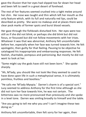gave the illusion that her eyes had slipped too far down her head and been left to swell in a great desert of forehead.

The rest of her features seemed crushed into a tight melee around her chin. Her nose was taught and thin which left her mouth as the only feature which, with its full and naturally red lips, could be described as pretty. She wore no makeup and at places there were clear pock marks of former spots and burst blood vessels.

Her gaze through the fishbowls disturbed him. Her eyes were too still as if she did not blink; or perhaps she did blink but did not focus, or focussed but did not follow movements with her irises. Whatever it was that was abnormal, Anthony felt uncomfortable before her, especially when her face was turned towards him. He felt apologetic, then guilty for that feeling. Pausing to be objective he catalogued his inappropriate and embarrassing responses. He felt foolish, charitable, pompous and patronising. But mostly he did not want to look at her.

"Some might say the gods have still not been born." She spoke sharply.

"Ah, M'lady, you should like not look like they seemed to used to have done upon life in such a metaphysical sense, it is ultimately pointless, fruitless and bootless."

"He calls me 'M'lady Myopia.' Darren's charm is of a special sort." Lucy seemed to address Anthony for the first time although as she did not turn her face towards him, he was not certain. The bitterness was no more pronounced than previously and she spoke in a level tone. Darren was smiling broadly to himself and the table.

"Are you going to tell me who you are? I can't imagine these two doing so."

Anthony felt uncomfortable, then felt sorry for her again, then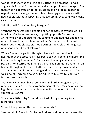wondered if she was challenging his right to be present. He was angry with Raj and Darren because she had put him on the spot. But there was no aggression to her question and no logical reason to regard it as a challenge. He must learn to engage more easily with new people without suspecting that everything they said was meant as a criticism.

"Hi. Uh, well I'm a Chemistry Postgrad."

"Perhaps Marx was right. People define themselves by their work. I take it you've found some way of putting up with Darren then." Anthony did not understand this comment and had just opened his mouth to ask for an explanation when Darren lurched forward dangerously. His elbows crashed down on the table and the glasses on it shook but did not fall over.

"You a Chemistry grad? I thought I knew all the chemicky lot. I'm next door at the Scott Polar research labs but I spend like more time in your building than mine." Darren was beaming and almost buzzing. He interrupted picking at a hangnail on his left hand to run fingers through and over his flattened hair. Every movement was accompanied by his body shaking with positive cheerfulness. There was a painful scraping noise as he adjusted his seat to lean even further over the table.

"But surely you must have seen me  $-1$ " hardly not going to be readily missable." To the accompaniment of the creaking of his chair legs, he sat violently back in his seat while he pulled a face like a supercilious angel.

"I can be a little noisy." He said as if admitting adultery to a lecherous friend.

"I don't hang around the coffee room much."

"Neither do I. They don't like me in there and don't let me trundle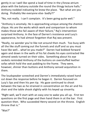gently in so I well like spend a load of time in the y'know atrium place with the balcony outside the round the thingy lecture halls." Anthony nodded indicating he knew the place. "But what are you doing. Probably like everyone else- badly?!"

"No, not really. I can't complain. It's been going quite well."

"Anthony is anomaly. He is approaching unique among the chemist clique. His are the works which work and comparison to whom makes those who fail aware of their failure," Raj's intervention surprised Anthony. In the face of Darren's insistence and Lucy's appearance, he had almost forgotten that Raj was present.

"Really, no wonder you're like not around then much. Too busy with all the like stuff coming out the funnels and stuff and so you must have like well... what've you made?" Darren had bobbed forward again and down in the wells of his fat cheeks his eyes contracted like almond seeds turned on their sides. Something about his eye sockets reminded Anthony of the buttons on overstuffed leather sofas which hold the seat padding to the frame. They were, however, shinier than buttons and Anthony sensed acquisition in them.

The loudspeaker screeched and Darren's immediately raised hand cut down the response before he began it. Darren focussed on Lucy's lips and then his pen tip. His gaze continued to shoot between the two as he strained in concentration on the air and his chair and the table shook slightly with his keyed up sincerity.

"Right well, we'll start with an easy one to wake you all up. First ten questions on the first page and then hand them in at the bar. First question then. Who succeeded Henry second on the throne. English throne that is."

"Wat?"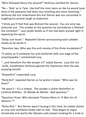"Who followed Henry the second?" Anthony clarified for Darren.

"No – 'Wat' as in Tyler. Like half the toxic twins as like he would have done if the peasants had been less revolting and more revolving." Anthony did not understand this but Darren was too consumed in laughing his private laugh to elaborate.

"I think you'll find that was Richard the second. You are only two centuries out. The answer to the question by coincidence is Richard the Lionheart." Lucy spoke levelly as if she had been proved right in expecting the worst.

"Dicky Lion-heart." Repeated Darren pronouncing each syllable slowly as he wrote it.

"Question two. Who was the arch enemy of the three musketeers?"

"It seems as if someone has only bothered with one page of the encyclopaedia," commented Lucy.

"...and therefore the like answer is?" asked Darren. Lucy did not smile, nonetheless Anthony gained the impression that she was enjoying herself.

"Roquefort" responded Lucy.

"Rock-fort" repeated Darren as he wrote it down. "Who was he then?"

"He wasn't – It's a cheese. The answer is either Rochefort or Cardinal Richlieu. Or Milady de Winter. Bad question."

"Question three. Who betrayed Thomas More in 'A Man for all Seasons.'?"

"Richy Rich." But Darren wasn't buying it this time, he simply stared at Lucy and oscillated slowly side to side. They began to argue tentatively and warily like Olympic judo players looking for a hold or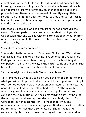a weakness. Anthony looked at Raj but Raj did not appear to be listening, he was watching Lucy. Occasionally he blinked slowly but did not smile or frown or offer any assistance as the questions proceeded and Darren and Lucy rowed. Presently a negotiated solution on the first ten questions was reached and Darren rocked back and forward until he managed the momentum to get up and take the paper to the bar.

Lucy stood up too and walked away from the table through the crowd. She was perfectly balanced and confident if not graceful. It was possible that she walked with one arm held slightly out in front of her. It was possible this was to protect her from unseen objects and passers by.

"How does Lucy know so much?"

"the oddest hath borne most. Or at least Odilia has. We that are young shall never know so much nor live so long. She reads a lot. Perhaps the time on her hands weighs so much a book is light by comparison. Odilia, by the way, is the patron saint of the blind, Lucy has enlightened me on a number of facts of that kind."

"So her eyesight is not so bad? She can read books?"

"It is remarkable what you can do if you have no option not to and what you will do to prove that you cannot be stopped from doing it too. Do not let your view of her vision be limited to her lenses." Raj paused as if he had finished all he had to say. Anthony waited. Almost aggrieved by having to continue, Raj spoke quicker to conclude the explanation: "She has a magnifying glass - by holding the text up to it and leaning over she can read fairly clearly. Each word requires her concentration. Perhaps that is why she remembers that word. When her eyes are tired she has little option but to think. Perhaps that also helps. But she can read and consequently she does. I know few if any who know more and in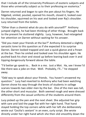that I include all of the University Professors of esoteric subjects and those who universally subject us to their professing on esoterica."

Darren returned and began to spin the pen about his fingers. He fidgeted, smiled, pouted, opened his mouth, closed it, looked over his shoulder, squirmed on his seat and looked over Raj's shoulder. Lucy returned from the toilets.

"Other than a chemist what do you do with yourself?" Anthony jumped slightly, he had been thinking of other things. Brought back to the present he stuttered slightly. Lucy, however, had retargeted her attention on Darren without waiting for his answer.

"Did you meet your friends at the bar?" Anthony detected a slightly sarcastic tone to this question as if she expected it to surprise Darren. Darren looked trapped and cast a quick glance and a frown at the bar. Then he smiled and looked over his shoulder again. He pushed back his chair and stood up before leaning back over it and tipping dangerously forward above the table.

"I'd better go speak to… Back in a mo. Just a Mot. Ha, see I knew I'd like there was a joke on that. Well. Probably, I'll…" he stepped away.

"Odd way to speak about your friends. You haven't answered my question." Lucy had reverted to Anthony who had been watching Darren shove his way through the knots of students in college scarves towards two older men by the bar. One of the men was tall, the other short and muscular. Both seemed rough and were dressed differently from the casual uniforms of the students around them.

Lucy picked up the pen and the next sheet. She adjusted her grip with care and laid the page flat with her right hand. That hand stayed holding the top corners while with her left she deliberately wrote out 'Cecilia's sextant' in an even, curly script. She wrote directly under her right hand which she then slid smoothly down the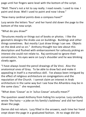page until her fingers were level with the bottom of the script.

"Well. There's not a lot to say really. I read novels. I used to row. I paint and draw. Well I used to paint and now I draw."

"How many cardinal points does a compass have?"

Lucy wrote the letters 'four' and her hand slid down the page to the bottom of the new script.

"What do you draw?"

"Structures mostly or things out of books or photos. I like the geometric designs the Arabs use on buildings. Buildings and other things sometimes. But mostly I just draw things I can see. Objects on the desk and so on." Anthony thought too late about this description and flushed with embarrassment for callously picking an interest she could not relate to. Raj continued to ignore their conversation, his eyes were on Lucy's shoulder and he was blinking slowly again.

"I have always loved the pencil drawings of Da Vinci. Also the anatomical ones of Gray. To be able to draw fact and make it appealing in itself is a marvellous skill. I've always been intrigued by the effect of religious architecture on congregations and the reputation of the Church. I cannot claim an interest in Arab architecture in the same way but I see how the Alhambra may be in the same class." she responded.

"What does 'Ceasar' as in 'Julius Ceasar' actually mean?"

The question saved Anthony from hiding his surprise. Lucy carefully wrote 'the hairy – a joke on his family's baldness' and slid her hand down the page.

Darren did not return. Lucy filled in the answers, each time her hand crept down the page in a graduated fashion. At no stage did she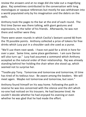review the answers and at no stage did she take out a magnifying glass. Raj sometimes contributed to the conversation with long monologues or opaque references but mostly he was withdrawn into a world populated only by his imagination and the debris on the walls.

Anthony took the pages to the bar at the end of each round. The first time Darren was there talking, with giant gestures and expressions, to the taller of his friends. Afterwards, he was not there and neither were they.

There were seven rounds in which Cecilia's Sextant scored 66 from the 70 possible points. Anthony collected a prize of tokens for free drinks which Lucy put in a shoulder sack she used as a purse.

"We'll use them next week. I have not paid for a drink in here for over a year. Same time, same place gentlemen. I am sure Darren will also turn up." Lucy had assumed a command which Anthony accepted as the natural order of their relationship. Raj was already standing behind her holding the chair when she stood up, which seemed not to surprise her.

"Toodle-pip Tony. Tomorrow and tomorrow and tomorrow, til time has tired of its tedious tour. Be aware among the beakers. We will meet again. Maybe not tomorrow and tomorrow, but soon."

Anthony found himself on his way home. Following the path in reverse he was less concerned with the silence and the dirt which no-one had noticed on his trousers. He had become tired. He couldn't decide whether he had enjoyed his evening or even whether he was glad that he had made the effort.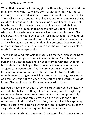#### 2. Undeniable Presence

When that I was and a little tiny girl. With hey, ho, the wind and the rain. Plenty of wind. Lucy liked storms, although this was not really a storm, just inclement weather. Blow winds and crack your cheeks. The crack was a real sound. She liked sounds with volume which she could get to grips with, like the whistling of wind or the shaking of boughs. And rain, or sleet or snow: cold and wet and obvious. There would be slippery mud after the rain was done. Puddles which would splash on your ankles when you stood in them. She liked weather she could be a part of. Like heavy rain that would run streams down her arms and through her hair. But wind was better an invisible maelstrom full of undeniable presence. She loved the message it brought of great distance and the way it was invisible, as much for her as everyone else.

The whistling wind was Gaia talking; living mother Earth speaking to humanity. Although mother is the wrong term. Earth is not a person and is not female and is not concerned with her 'children,' or bitter about their failings. That phrase is an example of human arrogance. 'Personification' as literary types might describe it. Humans are no more to the Earth than mobile stones. Earth is no more human than agar on which viruses grow. If one grows viruses on agar. She was not certain, it is the sort of detail which Raj would know. She would ask him if she remembered to do so.

Raj would have a description of some sort which would be factually accurate but tell you nothing. If he was feeling brief he might say something like: Humans are a category of mobile and potentially autonomous carbohydrates located on the flimsiest ring of the outermost solid rim of the Earth. And, perhaps: Earth is a spinning impure silicate mass orbiting within the local gravitational pulls of a single star and the wider physical laws of the universe.

Descriptions which miss the point. The chemical and physical terms